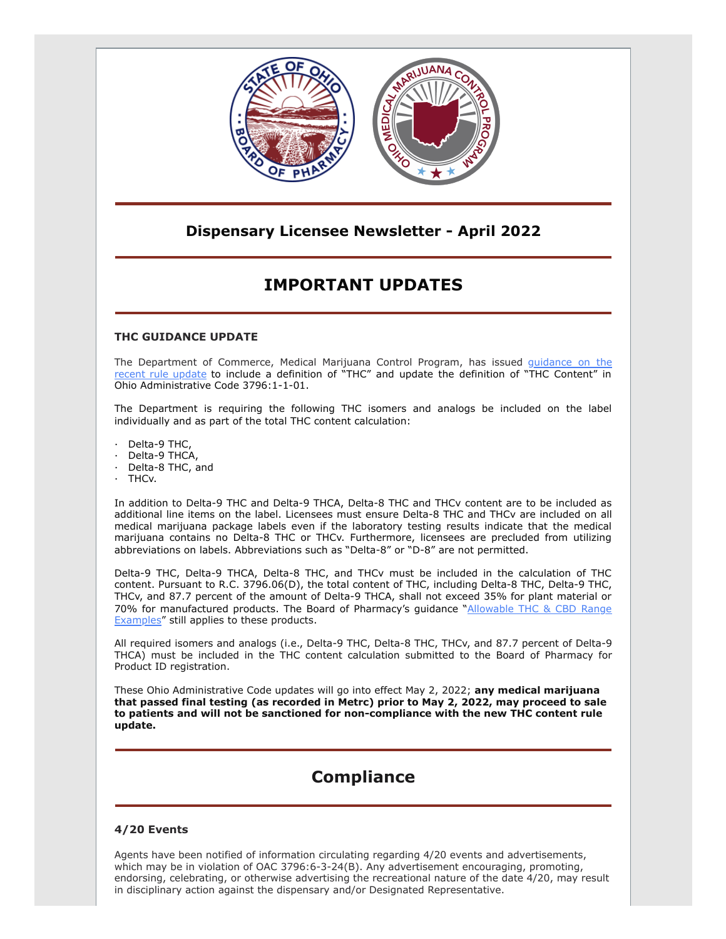

### **Dispensary Licensee Newsletter - April 2022**

## **IMPORTANT UPDATES**

### **THC GUIDANCE UPDATE**

[The Department of Commerce, Medical Marijuana Control Program, has issued](https://gcc02.safelinks.protection.outlook.com/?url=https%3A%2F%2Fwww.medicalmarijuana.ohio.gov%2FDocuments%2FLicenseeResources%2FProcessor%2520Licensee%2520Resources%2FProcessor%2520General%2520Operations%2FTHC%2520Definition%2520Rule%2520Update.pdf&data=04%7C01%7Cashley.hood%40pharmacy.ohio.gov%7C4ae71bf12b1f4c1e158408da1e3fc4e2%7C50f8fcc494d84f0784eb36ed57c7c8a2%7C0%7C0%7C637855556487302627%7CUnknown%7CTWFpbGZsb3d8eyJWIjoiMC4wLjAwMDAiLCJQIjoiV2luMzIiLCJBTiI6Ik1haWwiLCJXVCI6Mn0%3D%7C3000&sdata=%2B%2FHAv4g%2FHH9fiCsrH0fhul1rfa6KXcwS8fkMZd7w6mc%3D&reserved=0) [guidance o](https://gcc02.safelinks.protection.outlook.com/?url=https%3A%2F%2Fwww.medicalmarijuana.ohio.gov%2FDocuments%2FLicenseeResources%2FCultivator%2520Licensee%2520Resources%2FCultivator%2520General%2520Operations%2FTHC%2520Definition%2520Rule%2520Update.pdf&data=04%7C01%7Cashley.hood%40pharmacy.ohio.gov%7C4ae71bf12b1f4c1e158408da1e3fc4e2%7C50f8fcc494d84f0784eb36ed57c7c8a2%7C0%7C0%7C637855556487302627%7CUnknown%7CTWFpbGZsb3d8eyJWIjoiMC4wLjAwMDAiLCJQIjoiV2luMzIiLCJBTiI6Ik1haWwiLCJXVCI6Mn0%3D%7C3000&sdata=wn%2FMlT3MGLfB24EmqpVOjOkv5u6bZWGxErG2AcGHMuI%3D&reserved=0)n the recent [rule update](https://gcc02.safelinks.protection.outlook.com/?url=https%3A%2F%2Fwww.medicalmarijuana.ohio.gov%2FDocuments%2FLicenseeResources%2FTesting%2520Lab%2520Licensee%2520Resources%2FTesting%2520Lab%2520General%2520Operations%2FTHC%2520Definition%2520Rule%2520Update.pdf&data=04%7C01%7Cashley.hood%40pharmacy.ohio.gov%7C4ae71bf12b1f4c1e158408da1e3fc4e2%7C50f8fcc494d84f0784eb36ed57c7c8a2%7C0%7C0%7C637855556487312591%7CUnknown%7CTWFpbGZsb3d8eyJWIjoiMC4wLjAwMDAiLCJQIjoiV2luMzIiLCJBTiI6Ik1haWwiLCJXVCI6Mn0%3D%7C3000&sdata=rX1dMPj5JXnF2%2BvIBjlHYhsempAuiYuIRuUNauNI5Rg%3D&reserved=0) to include a definition of "THC" and update the definition of "THC Content" in Ohio Administrative Code 3796:1-1-01.

The Department is requiring the following THC isomers and analogs be included on the label individually and as part of the total THC content calculation:

Delta-9 THC,

- Delta-9 THCA,
- Delta-8 THC, and
- · THCv.

In addition to Delta-9 THC and Delta-9 THCA, Delta-8 THC and THCv content are to be included as additional line items on the label. Licensees must ensure Delta-8 THC and THCv are included on all medical marijuana package labels even if the laboratory testing results indicate that the medical marijuana contains no Delta-8 THC or THCv. Furthermore, licensees are precluded from utilizing abbreviations on labels. Abbreviations such as "Delta-8" or "D-8" are not permitted.

Delta-9 THC, Delta-9 THCA, Delta-8 THC, and THCv must be included in the calculation of THC content. Pursuant to R.C. 3796.06(D), the total content of THC, including Delta-8 THC, Delta-9 THC, THCv, and 87.7 percent of the amount of Delta-9 THCA, shall not exceed 35% for plant material or [70% for manufactured products. The Board of Pharmacy's guidance "Allowable THC & CBD Range](https://gcc02.safelinks.protection.outlook.com/?url=https%3A%2F%2Fwww.medicalmarijuana.ohio.gov%2FDocuments%2FLicenseeResources%2FProcessor%2520Licensee%2520Resources%2FProduct%2520ID%2520Assignment%2FNon-Plant%2520Material%2520Target%2520THC%2520Ranges.pdf&data=04%7C01%7Cashley.hood%40pharmacy.ohio.gov%7C4ae71bf12b1f4c1e158408da1e3fc4e2%7C50f8fcc494d84f0784eb36ed57c7c8a2%7C0%7C0%7C637855556487312591%7CUnknown%7CTWFpbGZsb3d8eyJWIjoiMC4wLjAwMDAiLCJQIjoiV2luMzIiLCJBTiI6Ik1haWwiLCJXVCI6Mn0%3D%7C3000&sdata=abj7%2BSDjfw48nPX%2B0aMmPonWHx7IppwtGi39xB7uEYY%3D&reserved=0) **Examples**" still applies to these products.

All required isomers and analogs (i.e., Delta-9 THC, Delta-8 THC, THCv, and 87.7 percent of Delta-9 THCA) must be included in the THC content calculation submitted to the Board of Pharmacy for Product ID registration.

These Ohio Administrative Code updates will go into effect May 2, 2022; **any medical marijuana that passed final testing (as recorded in Metrc) prior to May 2, 2022, may proceed to sale to patients and will not be sanctioned for non-compliance with the new THC content rule update.**

# **Compliance**

### **4/20 Events**

Agents have been notified of information circulating regarding 4/20 events and advertisements, which may be in violation of OAC 3796:6-3-24(B). Any advertisement encouraging, promoting, endorsing, celebrating, or otherwise advertising the recreational nature of the date 4/20, may result in disciplinary action against the dispensary and/or Designated Representative.